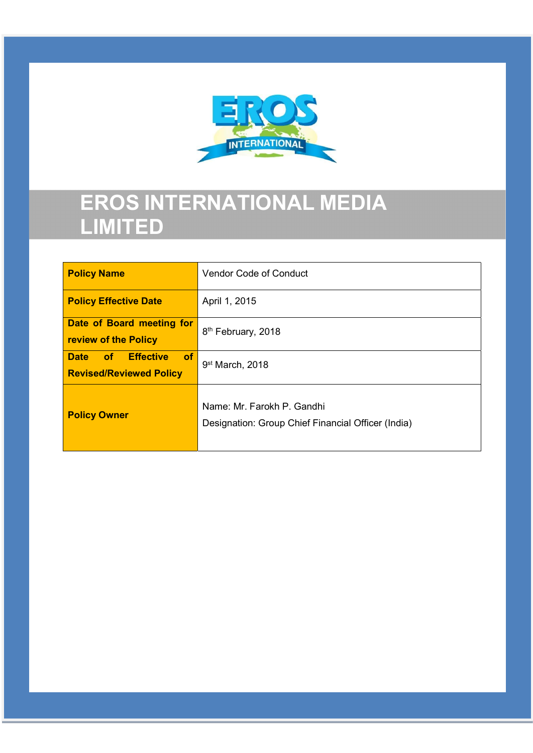

# EROS INTERNATIONAL MEDIA LIMITED

| <b>Policy Name</b>                                               | <b>Vendor Code of Conduct</b>                                                    |
|------------------------------------------------------------------|----------------------------------------------------------------------------------|
| <b>Policy Effective Date</b>                                     | April 1, 2015                                                                    |
| Date of Board meeting for<br>review of the Policy                | 8 <sup>th</sup> February, 2018                                                   |
| Date of Effective<br><b>of</b><br><b>Revised/Reviewed Policy</b> | 9 <sup>st</sup> March, 2018                                                      |
| <b>Policy Owner</b>                                              | Name: Mr. Farokh P. Gandhi<br>Designation: Group Chief Financial Officer (India) |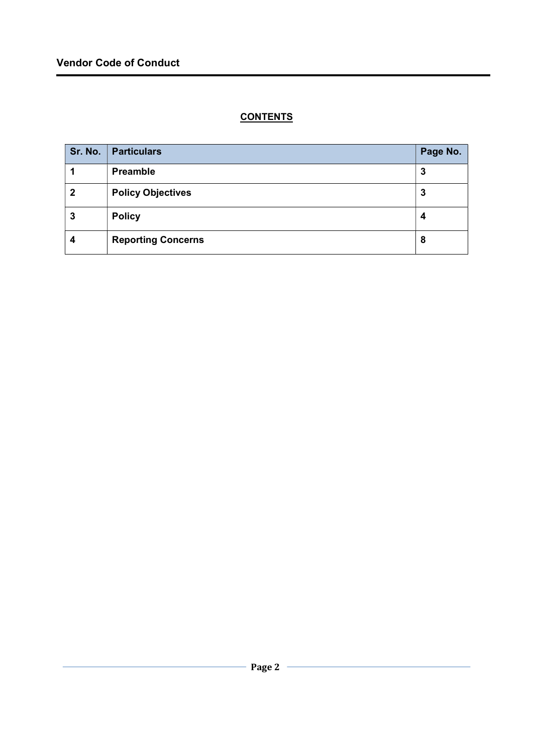# **CONTENTS**

| Sr. No.      | <b>Particulars</b>        | Page No. |
|--------------|---------------------------|----------|
|              | <b>Preamble</b>           | 3        |
| $\mathbf{2}$ | <b>Policy Objectives</b>  | 3        |
| 3            | <b>Policy</b>             | 4        |
| 4            | <b>Reporting Concerns</b> | 8        |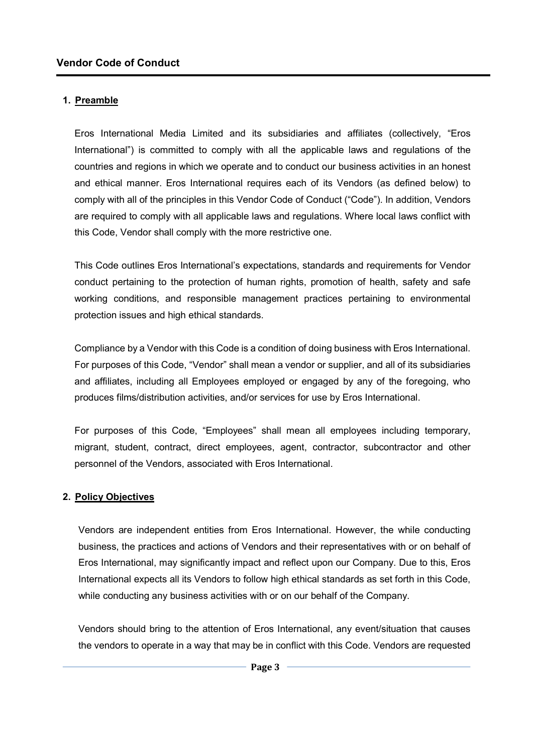# 1. Preamble

Eros International Media Limited and its subsidiaries and affiliates (collectively, "Eros International") is committed to comply with all the applicable laws and regulations of the countries and regions in which we operate and to conduct our business activities in an honest and ethical manner. Eros International requires each of its Vendors (as defined below) to comply with all of the principles in this Vendor Code of Conduct ("Code"). In addition, Vendors are required to comply with all applicable laws and regulations. Where local laws conflict with this Code, Vendor shall comply with the more restrictive one.

This Code outlines Eros International's expectations, standards and requirements for Vendor conduct pertaining to the protection of human rights, promotion of health, safety and safe working conditions, and responsible management practices pertaining to environmental protection issues and high ethical standards.

Compliance by a Vendor with this Code is a condition of doing business with Eros International. For purposes of this Code, "Vendor" shall mean a vendor or supplier, and all of its subsidiaries and affiliates, including all Employees employed or engaged by any of the foregoing, who produces films/distribution activities, and/or services for use by Eros International.

For purposes of this Code, "Employees" shall mean all employees including temporary, migrant, student, contract, direct employees, agent, contractor, subcontractor and other personnel of the Vendors, associated with Eros International.

#### 2. Policy Objectives

Vendors are independent entities from Eros International. However, the while conducting business, the practices and actions of Vendors and their representatives with or on behalf of Eros International, may significantly impact and reflect upon our Company. Due to this, Eros International expects all its Vendors to follow high ethical standards as set forth in this Code, while conducting any business activities with or on our behalf of the Company.

Vendors should bring to the attention of Eros International, any event/situation that causes the vendors to operate in a way that may be in conflict with this Code. Vendors are requested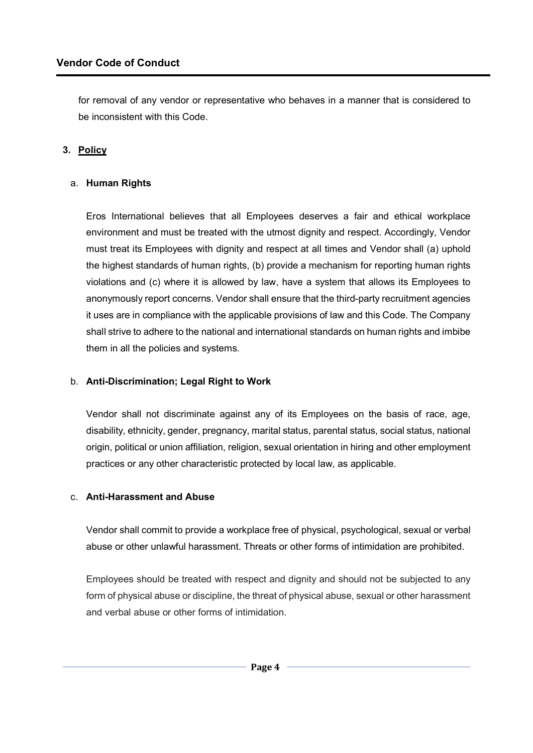for removal of any vendor or representative who behaves in a manner that is considered to be inconsistent with this Code.

# 3. Policy

## a. Human Rights

Eros International believes that all Employees deserves a fair and ethical workplace environment and must be treated with the utmost dignity and respect. Accordingly, Vendor must treat its Employees with dignity and respect at all times and Vendor shall (a) uphold the highest standards of human rights, (b) provide a mechanism for reporting human rights violations and (c) where it is allowed by law, have a system that allows its Employees to anonymously report concerns. Vendor shall ensure that the third-party recruitment agencies it uses are in compliance with the applicable provisions of law and this Code. The Company shall strive to adhere to the national and international standards on human rights and imbibe them in all the policies and systems.

#### b. Anti-Discrimination; Legal Right to Work

Vendor shall not discriminate against any of its Employees on the basis of race, age, disability, ethnicity, gender, pregnancy, marital status, parental status, social status, national origin, political or union affiliation, religion, sexual orientation in hiring and other employment practices or any other characteristic protected by local law, as applicable.

#### c. Anti-Harassment and Abuse

Vendor shall commit to provide a workplace free of physical, psychological, sexual or verbal abuse or other unlawful harassment. Threats or other forms of intimidation are prohibited.

Employees should be treated with respect and dignity and should not be subjected to any form of physical abuse or discipline, the threat of physical abuse, sexual or other harassment and verbal abuse or other forms of intimidation.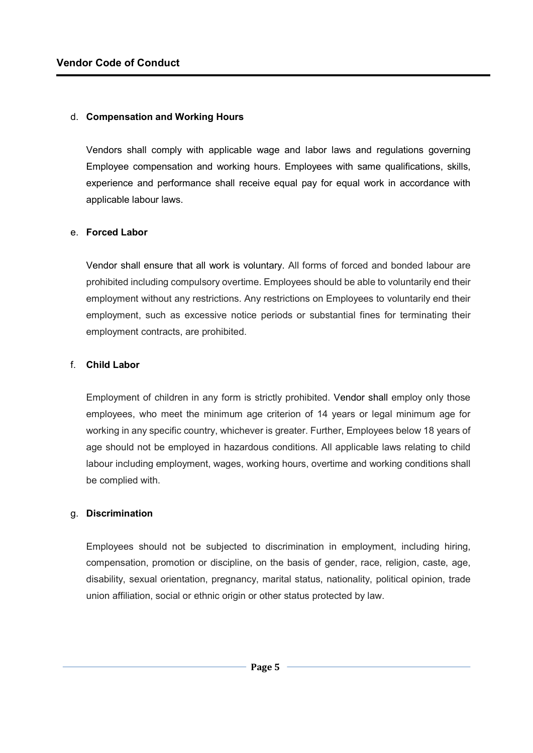#### d. Compensation and Working Hours

Vendors shall comply with applicable wage and labor laws and regulations governing Employee compensation and working hours. Employees with same qualifications, skills, experience and performance shall receive equal pay for equal work in accordance with applicable labour laws.

#### e. Forced Labor

Vendor shall ensure that all work is voluntary. All forms of forced and bonded labour are prohibited including compulsory overtime. Employees should be able to voluntarily end their employment without any restrictions. Any restrictions on Employees to voluntarily end their employment, such as excessive notice periods or substantial fines for terminating their employment contracts, are prohibited.

#### f. Child Labor

Employment of children in any form is strictly prohibited. Vendor shall employ only those employees, who meet the minimum age criterion of 14 years or legal minimum age for working in any specific country, whichever is greater. Further, Employees below 18 years of age should not be employed in hazardous conditions. All applicable laws relating to child labour including employment, wages, working hours, overtime and working conditions shall be complied with.

#### g. Discrimination

Employees should not be subjected to discrimination in employment, including hiring, compensation, promotion or discipline, on the basis of gender, race, religion, caste, age, disability, sexual orientation, pregnancy, marital status, nationality, political opinion, trade union affiliation, social or ethnic origin or other status protected by law.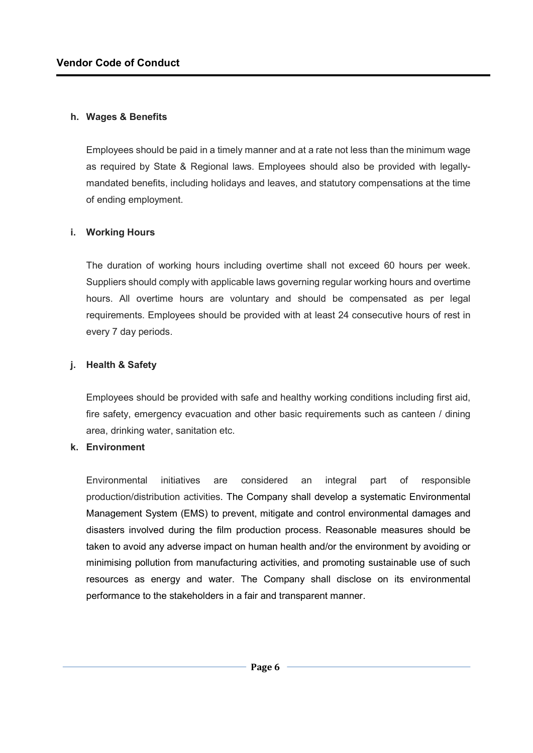#### h. Wages & Benefits

Employees should be paid in a timely manner and at a rate not less than the minimum wage as required by State & Regional laws. Employees should also be provided with legallymandated benefits, including holidays and leaves, and statutory compensations at the time of ending employment.

## i. Working Hours

The duration of working hours including overtime shall not exceed 60 hours per week. Suppliers should comply with applicable laws governing regular working hours and overtime hours. All overtime hours are voluntary and should be compensated as per legal requirements. Employees should be provided with at least 24 consecutive hours of rest in every 7 day periods.

#### j. Health & Safety

Employees should be provided with safe and healthy working conditions including first aid, fire safety, emergency evacuation and other basic requirements such as canteen / dining area, drinking water, sanitation etc.

#### k. Environment

Environmental initiatives are considered an integral part of responsible production/distribution activities. The Company shall develop a systematic Environmental Management System (EMS) to prevent, mitigate and control environmental damages and disasters involved during the film production process. Reasonable measures should be taken to avoid any adverse impact on human health and/or the environment by avoiding or minimising pollution from manufacturing activities, and promoting sustainable use of such resources as energy and water. The Company shall disclose on its environmental performance to the stakeholders in a fair and transparent manner.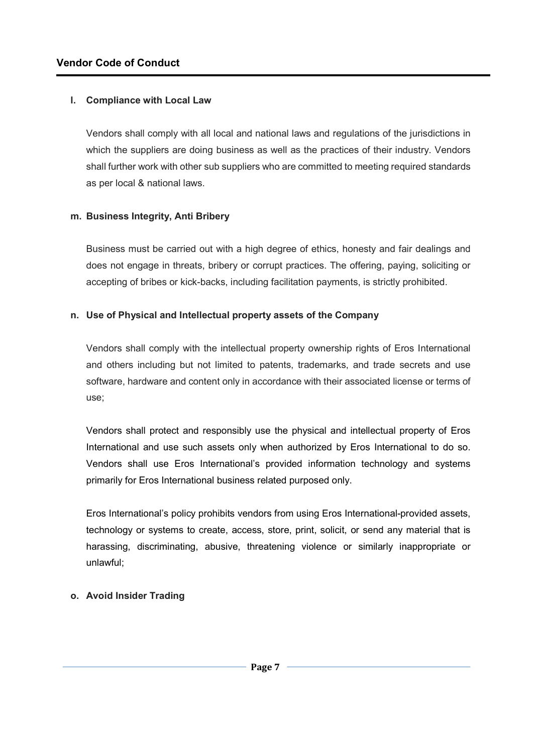## l. Compliance with Local Law

Vendors shall comply with all local and national laws and regulations of the jurisdictions in which the suppliers are doing business as well as the practices of their industry. Vendors shall further work with other sub suppliers who are committed to meeting required standards as per local & national laws.

## m. Business Integrity, Anti Bribery

Business must be carried out with a high degree of ethics, honesty and fair dealings and does not engage in threats, bribery or corrupt practices. The offering, paying, soliciting or accepting of bribes or kick-backs, including facilitation payments, is strictly prohibited.

## n. Use of Physical and Intellectual property assets of the Company

Vendors shall comply with the intellectual property ownership rights of Eros International and others including but not limited to patents, trademarks, and trade secrets and use software, hardware and content only in accordance with their associated license or terms of use;

Vendors shall protect and responsibly use the physical and intellectual property of Eros International and use such assets only when authorized by Eros International to do so. Vendors shall use Eros International's provided information technology and systems primarily for Eros International business related purposed only.

Eros International's policy prohibits vendors from using Eros International-provided assets, technology or systems to create, access, store, print, solicit, or send any material that is harassing, discriminating, abusive, threatening violence or similarly inappropriate or unlawful;

## o. Avoid Insider Trading